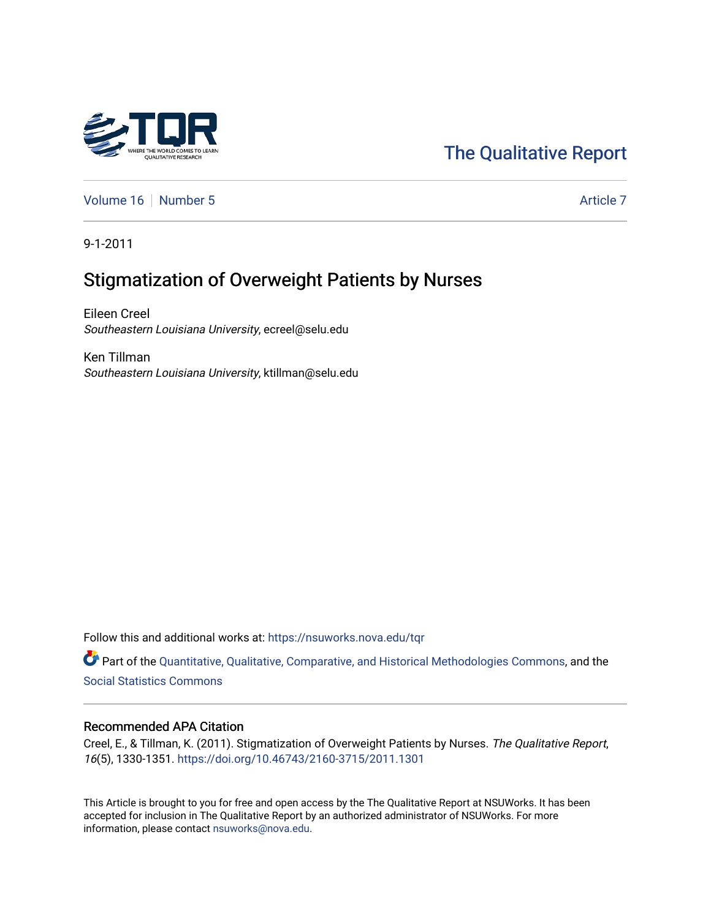

# [The Qualitative Report](https://nsuworks.nova.edu/tqr)

[Volume 16](https://nsuworks.nova.edu/tqr/vol16) [Number 5](https://nsuworks.nova.edu/tqr/vol16/iss5) Article 7

9-1-2011

# Stigmatization of Overweight Patients by Nurses

Eileen Creel Southeastern Louisiana University, ecreel@selu.edu

Ken Tillman Southeastern Louisiana University, ktillman@selu.edu

Follow this and additional works at: [https://nsuworks.nova.edu/tqr](https://nsuworks.nova.edu/tqr?utm_source=nsuworks.nova.edu%2Ftqr%2Fvol16%2Fiss5%2F7&utm_medium=PDF&utm_campaign=PDFCoverPages) 

Part of the [Quantitative, Qualitative, Comparative, and Historical Methodologies Commons,](http://network.bepress.com/hgg/discipline/423?utm_source=nsuworks.nova.edu%2Ftqr%2Fvol16%2Fiss5%2F7&utm_medium=PDF&utm_campaign=PDFCoverPages) and the [Social Statistics Commons](http://network.bepress.com/hgg/discipline/1275?utm_source=nsuworks.nova.edu%2Ftqr%2Fvol16%2Fiss5%2F7&utm_medium=PDF&utm_campaign=PDFCoverPages) 

#### Recommended APA Citation

Creel, E., & Tillman, K. (2011). Stigmatization of Overweight Patients by Nurses. The Qualitative Report, 16(5), 1330-1351. <https://doi.org/10.46743/2160-3715/2011.1301>

This Article is brought to you for free and open access by the The Qualitative Report at NSUWorks. It has been accepted for inclusion in The Qualitative Report by an authorized administrator of NSUWorks. For more information, please contact [nsuworks@nova.edu.](mailto:nsuworks@nova.edu)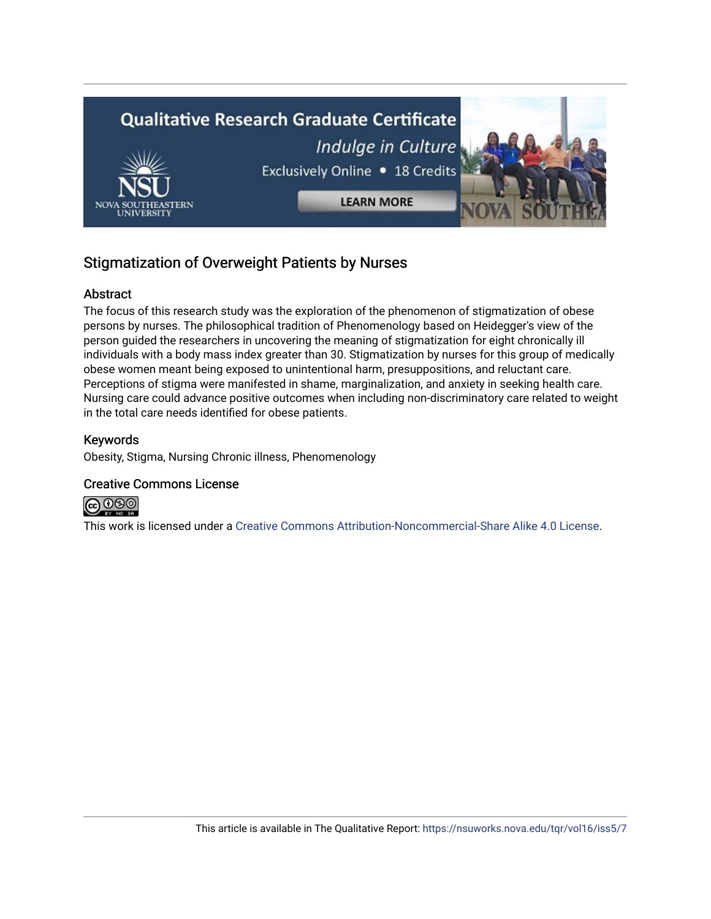

## Stigmatization of Overweight Patients by Nurses

## Abstract

The focus of this research study was the exploration of the phenomenon of stigmatization of obese persons by nurses. The philosophical tradition of Phenomenology based on Heidegger's view of the person guided the researchers in uncovering the meaning of stigmatization for eight chronically ill individuals with a body mass index greater than 30. Stigmatization by nurses for this group of medically obese women meant being exposed to unintentional harm, presuppositions, and reluctant care. Perceptions of stigma were manifested in shame, marginalization, and anxiety in seeking health care. Nursing care could advance positive outcomes when including non-discriminatory care related to weight in the total care needs identified for obese patients.

## Keywords

Obesity, Stigma, Nursing Chronic illness, Phenomenology

## Creative Commons License



This work is licensed under a [Creative Commons Attribution-Noncommercial-Share Alike 4.0 License](https://creativecommons.org/licenses/by-nc-sa/4.0/).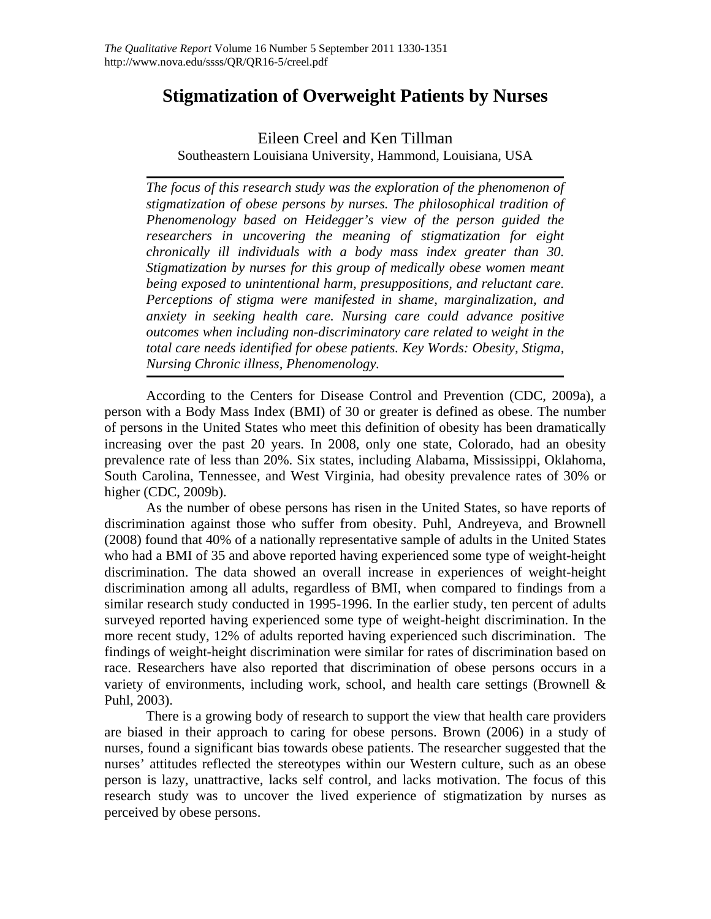## **Stigmatization of Overweight Patients by Nurses**

## Eileen Creel and Ken Tillman Southeastern Louisiana University, Hammond, Louisiana, USA

*The focus of this research study was the exploration of the phenomenon of stigmatization of obese persons by nurses. The philosophical tradition of Phenomenology based on Heidegger's view of the person guided the researchers in uncovering the meaning of stigmatization for eight chronically ill individuals with a body mass index greater than 30. Stigmatization by nurses for this group of medically obese women meant being exposed to unintentional harm, presuppositions, and reluctant care. Perceptions of stigma were manifested in shame, marginalization, and anxiety in seeking health care. Nursing care could advance positive outcomes when including non-discriminatory care related to weight in the total care needs identified for obese patients. Key Words: Obesity, Stigma, Nursing Chronic illness, Phenomenology.* 

According to the Centers for Disease Control and Prevention (CDC, 2009a), a person with a Body Mass Index (BMI) of 30 or greater is defined as obese. The number of persons in the United States who meet this definition of obesity has been dramatically increasing over the past 20 years. In 2008, only one state, Colorado, had an obesity prevalence rate of less than 20%. Six states, including Alabama, Mississippi, Oklahoma, South Carolina, Tennessee, and West Virginia, had obesity prevalence rates of 30% or higher (CDC, 2009b).

As the number of obese persons has risen in the United States, so have reports of discrimination against those who suffer from obesity. Puhl, Andreyeva, and Brownell (2008) found that 40% of a nationally representative sample of adults in the United States who had a BMI of 35 and above reported having experienced some type of weight-height discrimination. The data showed an overall increase in experiences of weight-height discrimination among all adults, regardless of BMI, when compared to findings from a similar research study conducted in 1995-1996. In the earlier study, ten percent of adults surveyed reported having experienced some type of weight-height discrimination. In the more recent study, 12% of adults reported having experienced such discrimination. The findings of weight-height discrimination were similar for rates of discrimination based on race. Researchers have also reported that discrimination of obese persons occurs in a variety of environments, including work, school, and health care settings (Brownell & Puhl, 2003).

There is a growing body of research to support the view that health care providers are biased in their approach to caring for obese persons. Brown (2006) in a study of nurses, found a significant bias towards obese patients. The researcher suggested that the nurses' attitudes reflected the stereotypes within our Western culture, such as an obese person is lazy, unattractive, lacks self control, and lacks motivation. The focus of this research study was to uncover the lived experience of stigmatization by nurses as perceived by obese persons.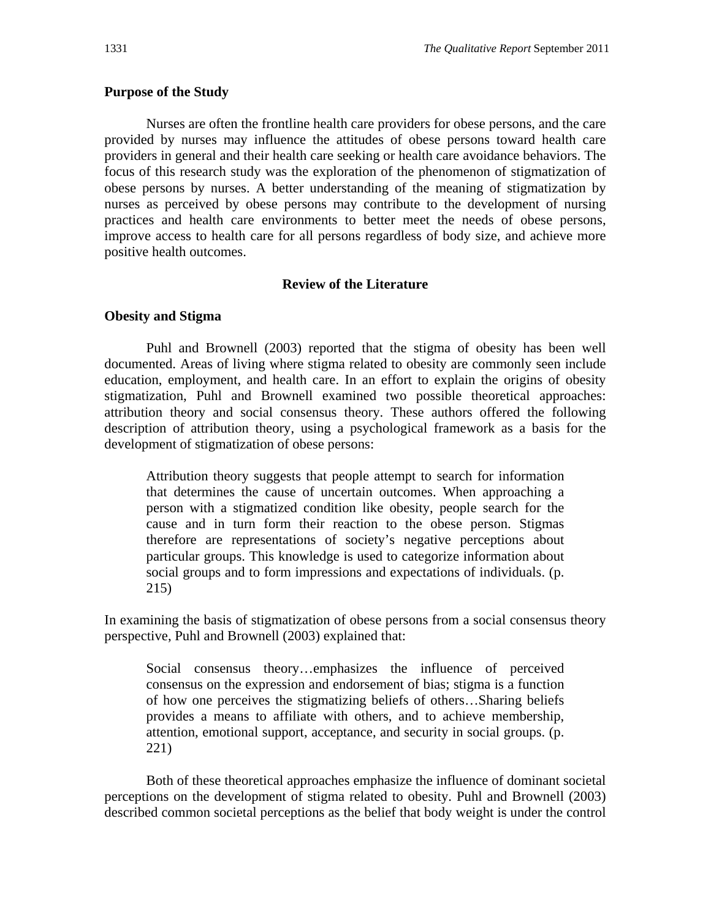## **Purpose of the Study**

Nurses are often the frontline health care providers for obese persons, and the care provided by nurses may influence the attitudes of obese persons toward health care providers in general and their health care seeking or health care avoidance behaviors. The focus of this research study was the exploration of the phenomenon of stigmatization of obese persons by nurses. A better understanding of the meaning of stigmatization by nurses as perceived by obese persons may contribute to the development of nursing practices and health care environments to better meet the needs of obese persons, improve access to health care for all persons regardless of body size, and achieve more positive health outcomes.

#### **Review of the Literature**

#### **Obesity and Stigma**

Puhl and Brownell (2003) reported that the stigma of obesity has been well documented. Areas of living where stigma related to obesity are commonly seen include education, employment, and health care. In an effort to explain the origins of obesity stigmatization, Puhl and Brownell examined two possible theoretical approaches: attribution theory and social consensus theory. These authors offered the following description of attribution theory, using a psychological framework as a basis for the development of stigmatization of obese persons:

Attribution theory suggests that people attempt to search for information that determines the cause of uncertain outcomes. When approaching a person with a stigmatized condition like obesity, people search for the cause and in turn form their reaction to the obese person. Stigmas therefore are representations of society's negative perceptions about particular groups. This knowledge is used to categorize information about social groups and to form impressions and expectations of individuals. (p. 215)

In examining the basis of stigmatization of obese persons from a social consensus theory perspective, Puhl and Brownell (2003) explained that:

Social consensus theory…emphasizes the influence of perceived consensus on the expression and endorsement of bias; stigma is a function of how one perceives the stigmatizing beliefs of others…Sharing beliefs provides a means to affiliate with others, and to achieve membership, attention, emotional support, acceptance, and security in social groups. (p. 221)

Both of these theoretical approaches emphasize the influence of dominant societal perceptions on the development of stigma related to obesity. Puhl and Brownell (2003) described common societal perceptions as the belief that body weight is under the control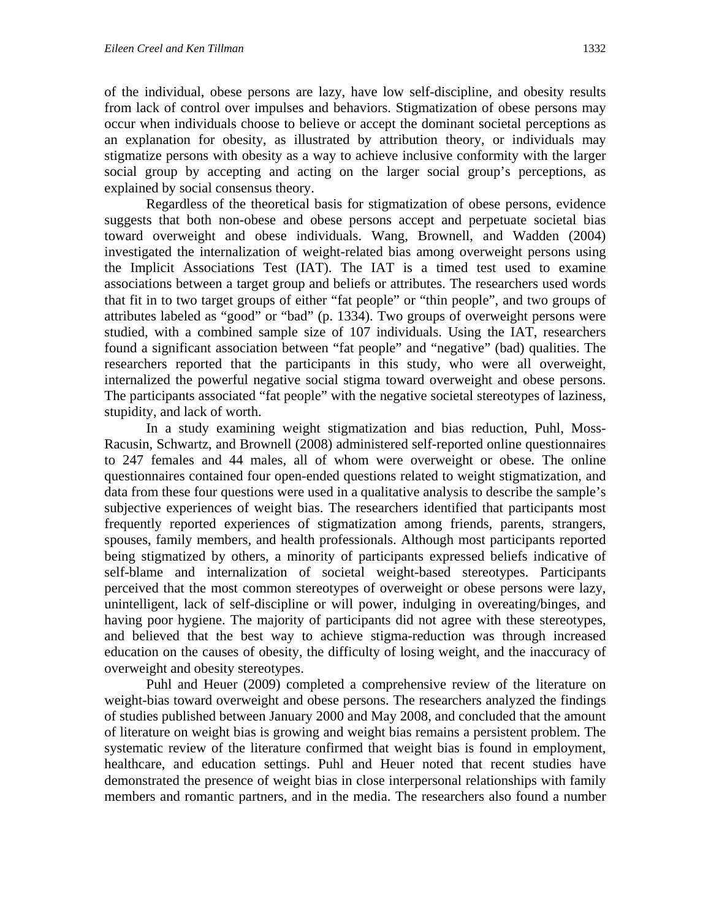of the individual, obese persons are lazy, have low self-discipline, and obesity results from lack of control over impulses and behaviors. Stigmatization of obese persons may occur when individuals choose to believe or accept the dominant societal perceptions as an explanation for obesity, as illustrated by attribution theory, or individuals may stigmatize persons with obesity as a way to achieve inclusive conformity with the larger social group by accepting and acting on the larger social group's perceptions, as explained by social consensus theory.

Regardless of the theoretical basis for stigmatization of obese persons, evidence suggests that both non-obese and obese persons accept and perpetuate societal bias toward overweight and obese individuals. Wang, Brownell, and Wadden (2004) investigated the internalization of weight-related bias among overweight persons using the Implicit Associations Test (IAT). The IAT is a timed test used to examine associations between a target group and beliefs or attributes. The researchers used words that fit in to two target groups of either "fat people" or "thin people", and two groups of attributes labeled as "good" or "bad" (p. 1334). Two groups of overweight persons were studied, with a combined sample size of 107 individuals. Using the IAT, researchers found a significant association between "fat people" and "negative" (bad) qualities. The researchers reported that the participants in this study, who were all overweight, internalized the powerful negative social stigma toward overweight and obese persons. The participants associated "fat people" with the negative societal stereotypes of laziness, stupidity, and lack of worth.

In a study examining weight stigmatization and bias reduction, Puhl, Moss-Racusin, Schwartz, and Brownell (2008) administered self-reported online questionnaires to 247 females and 44 males, all of whom were overweight or obese. The online questionnaires contained four open-ended questions related to weight stigmatization, and data from these four questions were used in a qualitative analysis to describe the sample's subjective experiences of weight bias. The researchers identified that participants most frequently reported experiences of stigmatization among friends, parents, strangers, spouses, family members, and health professionals. Although most participants reported being stigmatized by others, a minority of participants expressed beliefs indicative of self-blame and internalization of societal weight-based stereotypes. Participants perceived that the most common stereotypes of overweight or obese persons were lazy, unintelligent, lack of self-discipline or will power, indulging in overeating/binges, and having poor hygiene. The majority of participants did not agree with these stereotypes, and believed that the best way to achieve stigma-reduction was through increased education on the causes of obesity, the difficulty of losing weight, and the inaccuracy of overweight and obesity stereotypes.

Puhl and Heuer (2009) completed a comprehensive review of the literature on weight-bias toward overweight and obese persons. The researchers analyzed the findings of studies published between January 2000 and May 2008, and concluded that the amount of literature on weight bias is growing and weight bias remains a persistent problem. The systematic review of the literature confirmed that weight bias is found in employment, healthcare, and education settings. Puhl and Heuer noted that recent studies have demonstrated the presence of weight bias in close interpersonal relationships with family members and romantic partners, and in the media. The researchers also found a number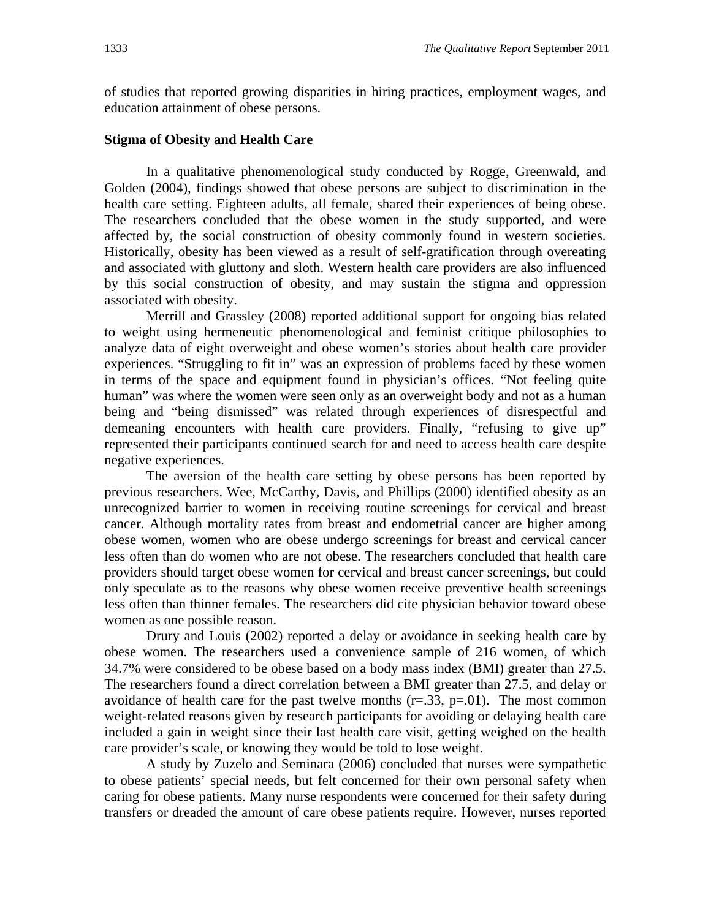of studies that reported growing disparities in hiring practices, employment wages, and education attainment of obese persons.

#### **Stigma of Obesity and Health Care**

In a qualitative phenomenological study conducted by Rogge, Greenwald, and Golden (2004), findings showed that obese persons are subject to discrimination in the health care setting. Eighteen adults, all female, shared their experiences of being obese. The researchers concluded that the obese women in the study supported, and were affected by, the social construction of obesity commonly found in western societies. Historically, obesity has been viewed as a result of self-gratification through overeating and associated with gluttony and sloth. Western health care providers are also influenced by this social construction of obesity, and may sustain the stigma and oppression associated with obesity.

Merrill and Grassley (2008) reported additional support for ongoing bias related to weight using hermeneutic phenomenological and feminist critique philosophies to analyze data of eight overweight and obese women's stories about health care provider experiences. "Struggling to fit in" was an expression of problems faced by these women in terms of the space and equipment found in physician's offices. "Not feeling quite human" was where the women were seen only as an overweight body and not as a human being and "being dismissed" was related through experiences of disrespectful and demeaning encounters with health care providers. Finally, "refusing to give up" represented their participants continued search for and need to access health care despite negative experiences.

The aversion of the health care setting by obese persons has been reported by previous researchers. Wee, McCarthy, Davis, and Phillips (2000) identified obesity as an unrecognized barrier to women in receiving routine screenings for cervical and breast cancer. Although mortality rates from breast and endometrial cancer are higher among obese women, women who are obese undergo screenings for breast and cervical cancer less often than do women who are not obese. The researchers concluded that health care providers should target obese women for cervical and breast cancer screenings, but could only speculate as to the reasons why obese women receive preventive health screenings less often than thinner females. The researchers did cite physician behavior toward obese women as one possible reason.

 Drury and Louis (2002) reported a delay or avoidance in seeking health care by obese women. The researchers used a convenience sample of 216 women, of which 34.7% were considered to be obese based on a body mass index (BMI) greater than 27.5. The researchers found a direct correlation between a BMI greater than 27.5, and delay or avoidance of health care for the past twelve months  $(r=.33, p=.01)$ . The most common weight-related reasons given by research participants for avoiding or delaying health care included a gain in weight since their last health care visit, getting weighed on the health care provider's scale, or knowing they would be told to lose weight.

A study by Zuzelo and Seminara (2006) concluded that nurses were sympathetic to obese patients' special needs, but felt concerned for their own personal safety when caring for obese patients. Many nurse respondents were concerned for their safety during transfers or dreaded the amount of care obese patients require. However, nurses reported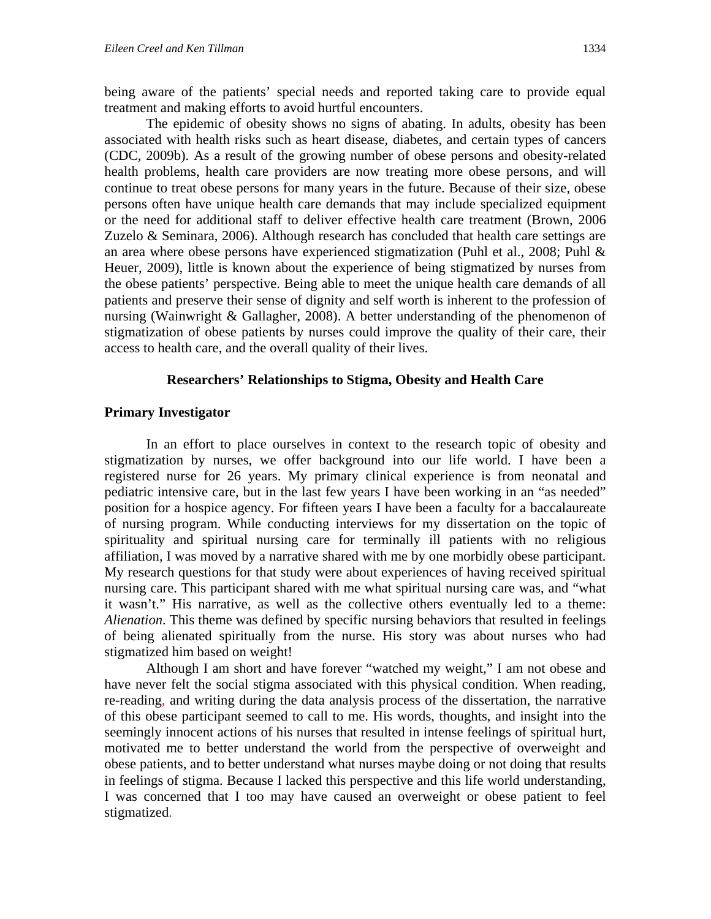being aware of the patients' special needs and reported taking care to provide equal treatment and making efforts to avoid hurtful encounters.

The epidemic of obesity shows no signs of abating. In adults, obesity has been associated with health risks such as heart disease, diabetes, and certain types of cancers (CDC, 2009b). As a result of the growing number of obese persons and obesity-related health problems, health care providers are now treating more obese persons, and will continue to treat obese persons for many years in the future. Because of their size, obese persons often have unique health care demands that may include specialized equipment or the need for additional staff to deliver effective health care treatment (Brown, 2006 Zuzelo & Seminara, 2006). Although research has concluded that health care settings are an area where obese persons have experienced stigmatization (Puhl et al., 2008; Puhl  $\&$ Heuer, 2009), little is known about the experience of being stigmatized by nurses from the obese patients' perspective. Being able to meet the unique health care demands of all patients and preserve their sense of dignity and self worth is inherent to the profession of nursing (Wainwright & Gallagher, 2008). A better understanding of the phenomenon of stigmatization of obese patients by nurses could improve the quality of their care, their access to health care, and the overall quality of their lives.

#### **Researchers' Relationships to Stigma, Obesity and Health Care**

#### **Primary Investigator**

In an effort to place ourselves in context to the research topic of obesity and stigmatization by nurses, we offer background into our life world. I have been a registered nurse for 26 years. My primary clinical experience is from neonatal and pediatric intensive care, but in the last few years I have been working in an "as needed" position for a hospice agency. For fifteen years I have been a faculty for a baccalaureate of nursing program. While conducting interviews for my dissertation on the topic of spirituality and spiritual nursing care for terminally ill patients with no religious affiliation, I was moved by a narrative shared with me by one morbidly obese participant. My research questions for that study were about experiences of having received spiritual nursing care. This participant shared with me what spiritual nursing care was, and "what it wasn't." His narrative, as well as the collective others eventually led to a theme: *Alienation*. This theme was defined by specific nursing behaviors that resulted in feelings of being alienated spiritually from the nurse. His story was about nurses who had stigmatized him based on weight!

Although I am short and have forever "watched my weight," I am not obese and have never felt the social stigma associated with this physical condition. When reading, re-reading, and writing during the data analysis process of the dissertation, the narrative of this obese participant seemed to call to me. His words, thoughts, and insight into the seemingly innocent actions of his nurses that resulted in intense feelings of spiritual hurt, motivated me to better understand the world from the perspective of overweight and obese patients, and to better understand what nurses maybe doing or not doing that results in feelings of stigma. Because I lacked this perspective and this life world understanding, I was concerned that I too may have caused an overweight or obese patient to feel stigmatized.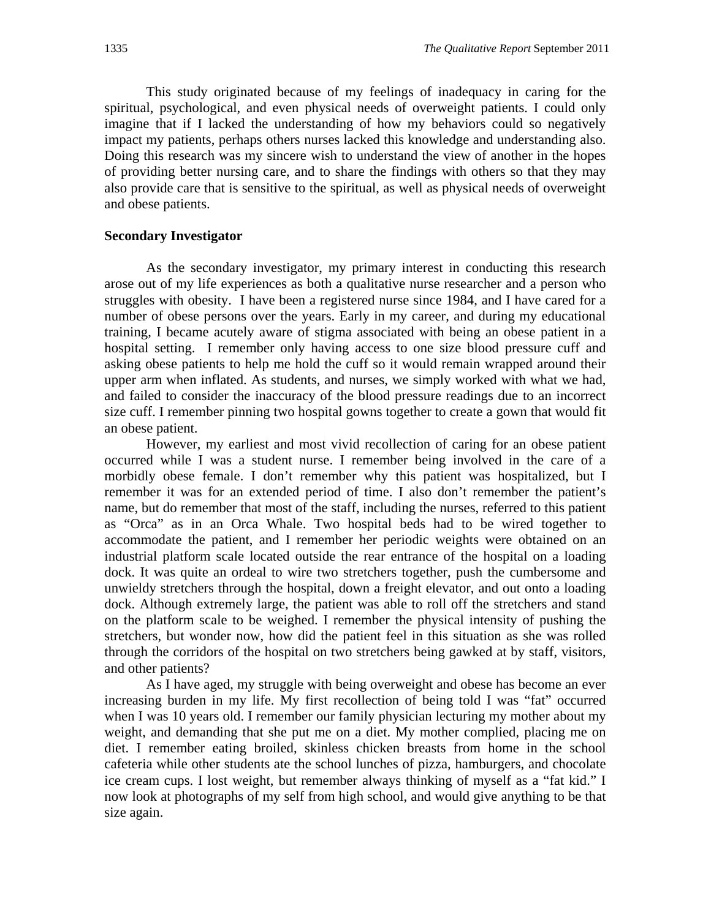This study originated because of my feelings of inadequacy in caring for the spiritual, psychological, and even physical needs of overweight patients. I could only imagine that if I lacked the understanding of how my behaviors could so negatively impact my patients, perhaps others nurses lacked this knowledge and understanding also. Doing this research was my sincere wish to understand the view of another in the hopes of providing better nursing care, and to share the findings with others so that they may also provide care that is sensitive to the spiritual, as well as physical needs of overweight and obese patients.

#### **Secondary Investigator**

As the secondary investigator, my primary interest in conducting this research arose out of my life experiences as both a qualitative nurse researcher and a person who struggles with obesity. I have been a registered nurse since 1984, and I have cared for a number of obese persons over the years. Early in my career, and during my educational training, I became acutely aware of stigma associated with being an obese patient in a hospital setting. I remember only having access to one size blood pressure cuff and asking obese patients to help me hold the cuff so it would remain wrapped around their upper arm when inflated. As students, and nurses, we simply worked with what we had, and failed to consider the inaccuracy of the blood pressure readings due to an incorrect size cuff. I remember pinning two hospital gowns together to create a gown that would fit an obese patient.

However, my earliest and most vivid recollection of caring for an obese patient occurred while I was a student nurse. I remember being involved in the care of a morbidly obese female. I don't remember why this patient was hospitalized, but I remember it was for an extended period of time. I also don't remember the patient's name, but do remember that most of the staff, including the nurses, referred to this patient as "Orca" as in an Orca Whale. Two hospital beds had to be wired together to accommodate the patient, and I remember her periodic weights were obtained on an industrial platform scale located outside the rear entrance of the hospital on a loading dock. It was quite an ordeal to wire two stretchers together, push the cumbersome and unwieldy stretchers through the hospital, down a freight elevator, and out onto a loading dock. Although extremely large, the patient was able to roll off the stretchers and stand on the platform scale to be weighed. I remember the physical intensity of pushing the stretchers, but wonder now, how did the patient feel in this situation as she was rolled through the corridors of the hospital on two stretchers being gawked at by staff, visitors, and other patients?

As I have aged, my struggle with being overweight and obese has become an ever increasing burden in my life. My first recollection of being told I was "fat" occurred when I was 10 years old. I remember our family physician lecturing my mother about my weight, and demanding that she put me on a diet. My mother complied, placing me on diet. I remember eating broiled, skinless chicken breasts from home in the school cafeteria while other students ate the school lunches of pizza, hamburgers, and chocolate ice cream cups. I lost weight, but remember always thinking of myself as a "fat kid." I now look at photographs of my self from high school, and would give anything to be that size again.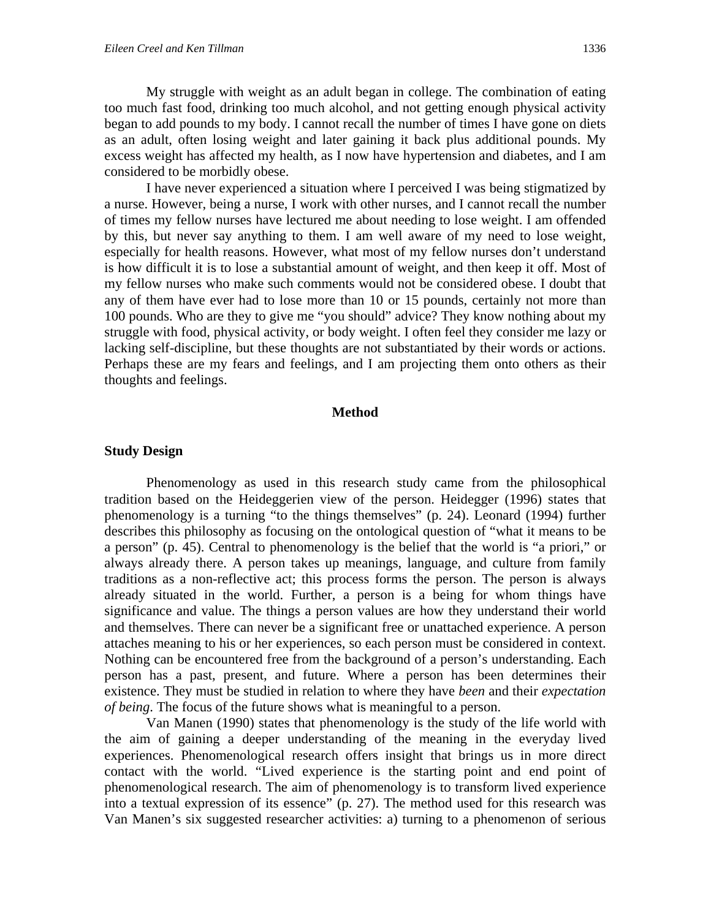My struggle with weight as an adult began in college. The combination of eating too much fast food, drinking too much alcohol, and not getting enough physical activity began to add pounds to my body. I cannot recall the number of times I have gone on diets as an adult, often losing weight and later gaining it back plus additional pounds. My excess weight has affected my health, as I now have hypertension and diabetes, and I am considered to be morbidly obese.

I have never experienced a situation where I perceived I was being stigmatized by a nurse. However, being a nurse, I work with other nurses, and I cannot recall the number of times my fellow nurses have lectured me about needing to lose weight. I am offended by this, but never say anything to them. I am well aware of my need to lose weight, especially for health reasons. However, what most of my fellow nurses don't understand is how difficult it is to lose a substantial amount of weight, and then keep it off. Most of my fellow nurses who make such comments would not be considered obese. I doubt that any of them have ever had to lose more than 10 or 15 pounds, certainly not more than 100 pounds. Who are they to give me "you should" advice? They know nothing about my struggle with food, physical activity, or body weight. I often feel they consider me lazy or lacking self-discipline, but these thoughts are not substantiated by their words or actions. Perhaps these are my fears and feelings, and I am projecting them onto others as their thoughts and feelings.

#### **Method**

#### **Study Design**

 Phenomenology as used in this research study came from the philosophical tradition based on the Heideggerien view of the person. Heidegger (1996) states that phenomenology is a turning "to the things themselves" (p. 24). Leonard (1994) further describes this philosophy as focusing on the ontological question of "what it means to be a person" (p. 45). Central to phenomenology is the belief that the world is "a priori," or always already there. A person takes up meanings, language, and culture from family traditions as a non-reflective act; this process forms the person. The person is always already situated in the world. Further, a person is a being for whom things have significance and value. The things a person values are how they understand their world and themselves. There can never be a significant free or unattached experience. A person attaches meaning to his or her experiences, so each person must be considered in context. Nothing can be encountered free from the background of a person's understanding. Each person has a past, present, and future. Where a person has been determines their existence. They must be studied in relation to where they have *been* and their *expectation of being*. The focus of the future shows what is meaningful to a person.

 Van Manen (1990) states that phenomenology is the study of the life world with the aim of gaining a deeper understanding of the meaning in the everyday lived experiences. Phenomenological research offers insight that brings us in more direct contact with the world. "Lived experience is the starting point and end point of phenomenological research. The aim of phenomenology is to transform lived experience into a textual expression of its essence" (p. 27). The method used for this research was Van Manen's six suggested researcher activities: a) turning to a phenomenon of serious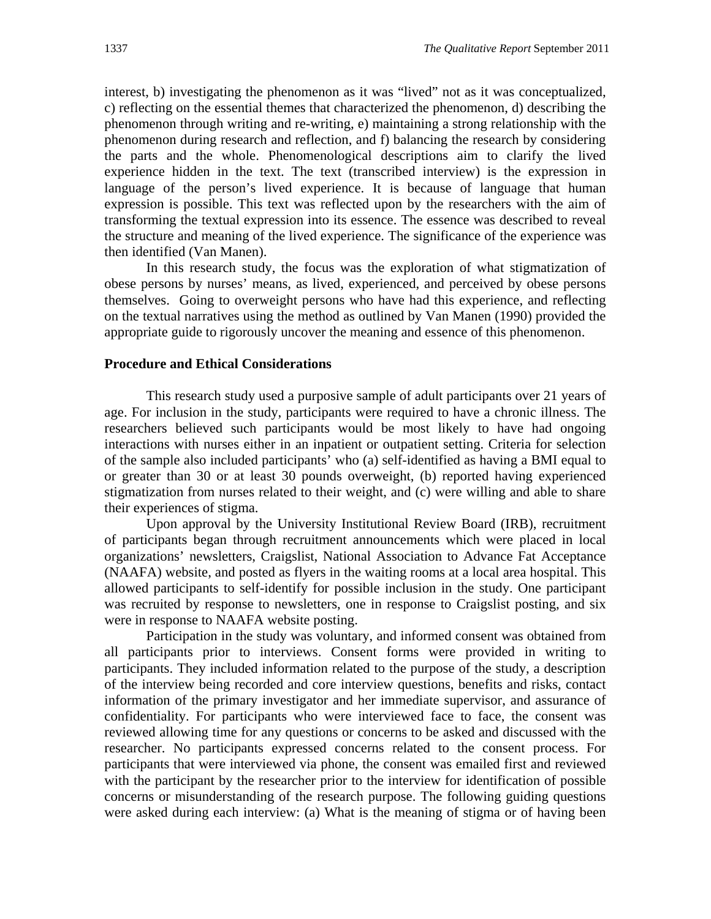interest, b) investigating the phenomenon as it was "lived" not as it was conceptualized, c) reflecting on the essential themes that characterized the phenomenon, d) describing the phenomenon through writing and re-writing, e) maintaining a strong relationship with the phenomenon during research and reflection, and f) balancing the research by considering the parts and the whole. Phenomenological descriptions aim to clarify the lived experience hidden in the text. The text (transcribed interview) is the expression in language of the person's lived experience. It is because of language that human expression is possible. This text was reflected upon by the researchers with the aim of transforming the textual expression into its essence. The essence was described to reveal the structure and meaning of the lived experience. The significance of the experience was then identified (Van Manen).

 In this research study, the focus was the exploration of what stigmatization of obese persons by nurses' means, as lived, experienced, and perceived by obese persons themselves. Going to overweight persons who have had this experience, and reflecting on the textual narratives using the method as outlined by Van Manen (1990) provided the appropriate guide to rigorously uncover the meaning and essence of this phenomenon.

#### **Procedure and Ethical Considerations**

This research study used a purposive sample of adult participants over 21 years of age. For inclusion in the study, participants were required to have a chronic illness. The researchers believed such participants would be most likely to have had ongoing interactions with nurses either in an inpatient or outpatient setting. Criteria for selection of the sample also included participants' who (a) self-identified as having a BMI equal to or greater than 30 or at least 30 pounds overweight, (b) reported having experienced stigmatization from nurses related to their weight, and (c) were willing and able to share their experiences of stigma.

Upon approval by the University Institutional Review Board (IRB), recruitment of participants began through recruitment announcements which were placed in local organizations' newsletters, Craigslist, National Association to Advance Fat Acceptance (NAAFA) website, and posted as flyers in the waiting rooms at a local area hospital. This allowed participants to self-identify for possible inclusion in the study. One participant was recruited by response to newsletters, one in response to Craigslist posting, and six were in response to NAAFA website posting.

Participation in the study was voluntary, and informed consent was obtained from all participants prior to interviews. Consent forms were provided in writing to participants. They included information related to the purpose of the study, a description of the interview being recorded and core interview questions, benefits and risks, contact information of the primary investigator and her immediate supervisor, and assurance of confidentiality. For participants who were interviewed face to face, the consent was reviewed allowing time for any questions or concerns to be asked and discussed with the researcher. No participants expressed concerns related to the consent process. For participants that were interviewed via phone, the consent was emailed first and reviewed with the participant by the researcher prior to the interview for identification of possible concerns or misunderstanding of the research purpose. The following guiding questions were asked during each interview: (a) What is the meaning of stigma or of having been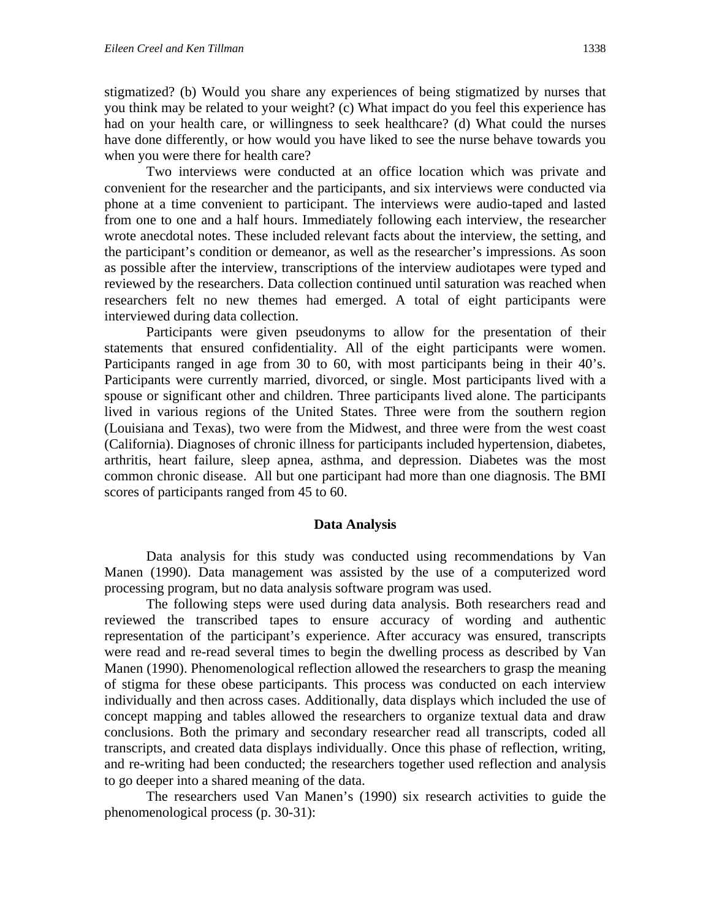stigmatized? (b) Would you share any experiences of being stigmatized by nurses that you think may be related to your weight? (c) What impact do you feel this experience has had on your health care, or willingness to seek healthcare? (d) What could the nurses have done differently, or how would you have liked to see the nurse behave towards you when you were there for health care?

Two interviews were conducted at an office location which was private and convenient for the researcher and the participants, and six interviews were conducted via phone at a time convenient to participant. The interviews were audio-taped and lasted from one to one and a half hours. Immediately following each interview, the researcher wrote anecdotal notes. These included relevant facts about the interview, the setting, and the participant's condition or demeanor, as well as the researcher's impressions. As soon as possible after the interview, transcriptions of the interview audiotapes were typed and reviewed by the researchers. Data collection continued until saturation was reached when researchers felt no new themes had emerged. A total of eight participants were interviewed during data collection.

Participants were given pseudonyms to allow for the presentation of their statements that ensured confidentiality. All of the eight participants were women. Participants ranged in age from 30 to 60, with most participants being in their 40's. Participants were currently married, divorced, or single. Most participants lived with a spouse or significant other and children. Three participants lived alone. The participants lived in various regions of the United States. Three were from the southern region (Louisiana and Texas), two were from the Midwest, and three were from the west coast (California). Diagnoses of chronic illness for participants included hypertension, diabetes, arthritis, heart failure, sleep apnea, asthma, and depression. Diabetes was the most common chronic disease. All but one participant had more than one diagnosis. The BMI scores of participants ranged from 45 to 60.

#### **Data Analysis**

Data analysis for this study was conducted using recommendations by Van Manen (1990). Data management was assisted by the use of a computerized word processing program, but no data analysis software program was used.

The following steps were used during data analysis. Both researchers read and reviewed the transcribed tapes to ensure accuracy of wording and authentic representation of the participant's experience. After accuracy was ensured, transcripts were read and re-read several times to begin the dwelling process as described by Van Manen (1990). Phenomenological reflection allowed the researchers to grasp the meaning of stigma for these obese participants. This process was conducted on each interview individually and then across cases. Additionally, data displays which included the use of concept mapping and tables allowed the researchers to organize textual data and draw conclusions. Both the primary and secondary researcher read all transcripts, coded all transcripts, and created data displays individually. Once this phase of reflection, writing, and re-writing had been conducted; the researchers together used reflection and analysis to go deeper into a shared meaning of the data.

The researchers used Van Manen's (1990) six research activities to guide the phenomenological process (p. 30-31):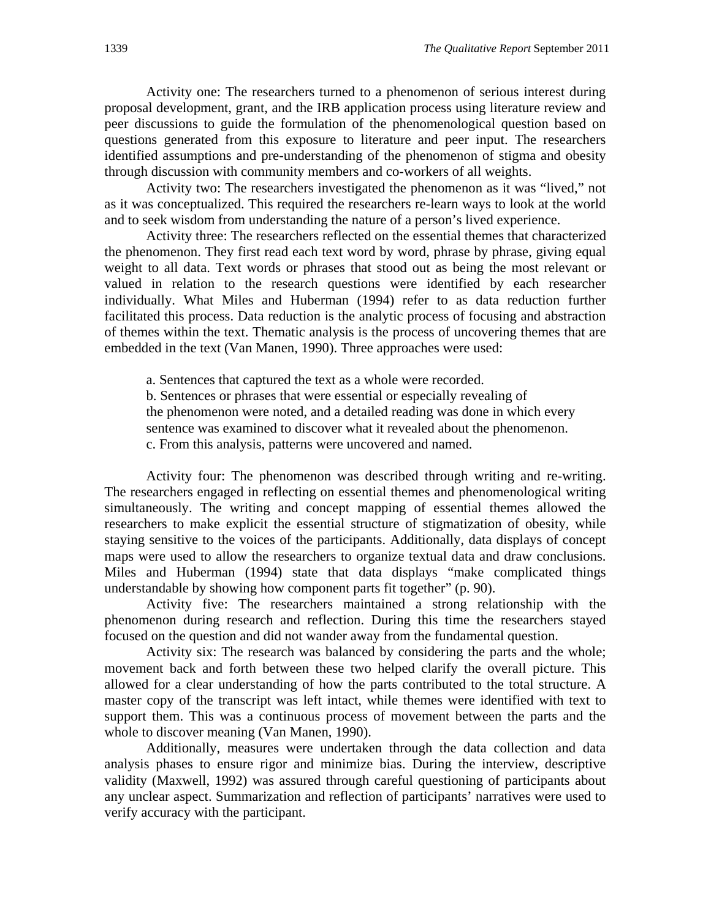Activity one: The researchers turned to a phenomenon of serious interest during proposal development, grant, and the IRB application process using literature review and peer discussions to guide the formulation of the phenomenological question based on questions generated from this exposure to literature and peer input. The researchers identified assumptions and pre-understanding of the phenomenon of stigma and obesity through discussion with community members and co-workers of all weights.

Activity two: The researchers investigated the phenomenon as it was "lived," not as it was conceptualized. This required the researchers re-learn ways to look at the world and to seek wisdom from understanding the nature of a person's lived experience.

Activity three: The researchers reflected on the essential themes that characterized the phenomenon. They first read each text word by word, phrase by phrase, giving equal weight to all data. Text words or phrases that stood out as being the most relevant or valued in relation to the research questions were identified by each researcher individually. What Miles and Huberman (1994) refer to as data reduction further facilitated this process. Data reduction is the analytic process of focusing and abstraction of themes within the text. Thematic analysis is the process of uncovering themes that are embedded in the text (Van Manen, 1990). Three approaches were used:

a. Sentences that captured the text as a whole were recorded.

b. Sentences or phrases that were essential or especially revealing of

the phenomenon were noted, and a detailed reading was done in which every

sentence was examined to discover what it revealed about the phenomenon.

c. From this analysis, patterns were uncovered and named.

Activity four: The phenomenon was described through writing and re-writing. The researchers engaged in reflecting on essential themes and phenomenological writing simultaneously. The writing and concept mapping of essential themes allowed the researchers to make explicit the essential structure of stigmatization of obesity, while staying sensitive to the voices of the participants. Additionally, data displays of concept maps were used to allow the researchers to organize textual data and draw conclusions. Miles and Huberman (1994) state that data displays "make complicated things understandable by showing how component parts fit together" (p. 90).

Activity five: The researchers maintained a strong relationship with the phenomenon during research and reflection. During this time the researchers stayed focused on the question and did not wander away from the fundamental question.

Activity six: The research was balanced by considering the parts and the whole; movement back and forth between these two helped clarify the overall picture. This allowed for a clear understanding of how the parts contributed to the total structure. A master copy of the transcript was left intact, while themes were identified with text to support them. This was a continuous process of movement between the parts and the whole to discover meaning (Van Manen, 1990).

Additionally, measures were undertaken through the data collection and data analysis phases to ensure rigor and minimize bias. During the interview, descriptive validity (Maxwell, 1992) was assured through careful questioning of participants about any unclear aspect. Summarization and reflection of participants' narratives were used to verify accuracy with the participant.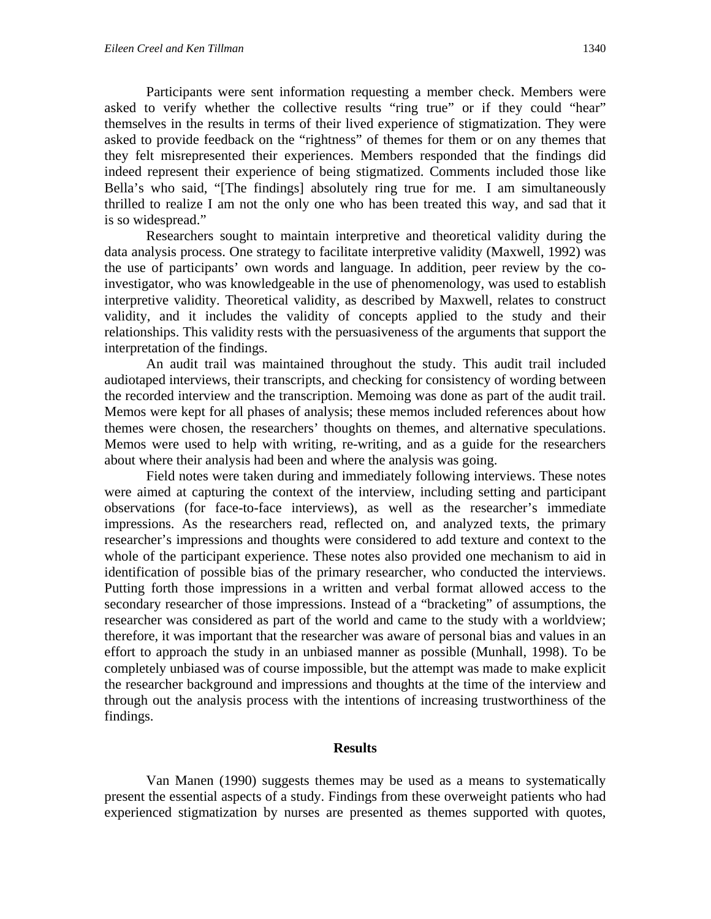Participants were sent information requesting a member check. Members were asked to verify whether the collective results "ring true" or if they could "hear" themselves in the results in terms of their lived experience of stigmatization. They were asked to provide feedback on the "rightness" of themes for them or on any themes that they felt misrepresented their experiences. Members responded that the findings did indeed represent their experience of being stigmatized. Comments included those like Bella's who said, "[The findings] absolutely ring true for me. I am simultaneously thrilled to realize I am not the only one who has been treated this way, and sad that it is so widespread."

 Researchers sought to maintain interpretive and theoretical validity during the data analysis process. One strategy to facilitate interpretive validity (Maxwell, 1992) was the use of participants' own words and language. In addition, peer review by the coinvestigator, who was knowledgeable in the use of phenomenology, was used to establish interpretive validity. Theoretical validity, as described by Maxwell, relates to construct validity, and it includes the validity of concepts applied to the study and their relationships. This validity rests with the persuasiveness of the arguments that support the interpretation of the findings.

An audit trail was maintained throughout the study. This audit trail included audiotaped interviews, their transcripts, and checking for consistency of wording between the recorded interview and the transcription. Memoing was done as part of the audit trail. Memos were kept for all phases of analysis; these memos included references about how themes were chosen, the researchers' thoughts on themes, and alternative speculations. Memos were used to help with writing, re-writing, and as a guide for the researchers about where their analysis had been and where the analysis was going.

Field notes were taken during and immediately following interviews. These notes were aimed at capturing the context of the interview, including setting and participant observations (for face-to-face interviews), as well as the researcher's immediate impressions. As the researchers read, reflected on, and analyzed texts, the primary researcher's impressions and thoughts were considered to add texture and context to the whole of the participant experience. These notes also provided one mechanism to aid in identification of possible bias of the primary researcher, who conducted the interviews. Putting forth those impressions in a written and verbal format allowed access to the secondary researcher of those impressions. Instead of a "bracketing" of assumptions, the researcher was considered as part of the world and came to the study with a worldview; therefore, it was important that the researcher was aware of personal bias and values in an effort to approach the study in an unbiased manner as possible (Munhall, 1998). To be completely unbiased was of course impossible, but the attempt was made to make explicit the researcher background and impressions and thoughts at the time of the interview and through out the analysis process with the intentions of increasing trustworthiness of the findings.

#### **Results**

Van Manen (1990) suggests themes may be used as a means to systematically present the essential aspects of a study. Findings from these overweight patients who had experienced stigmatization by nurses are presented as themes supported with quotes,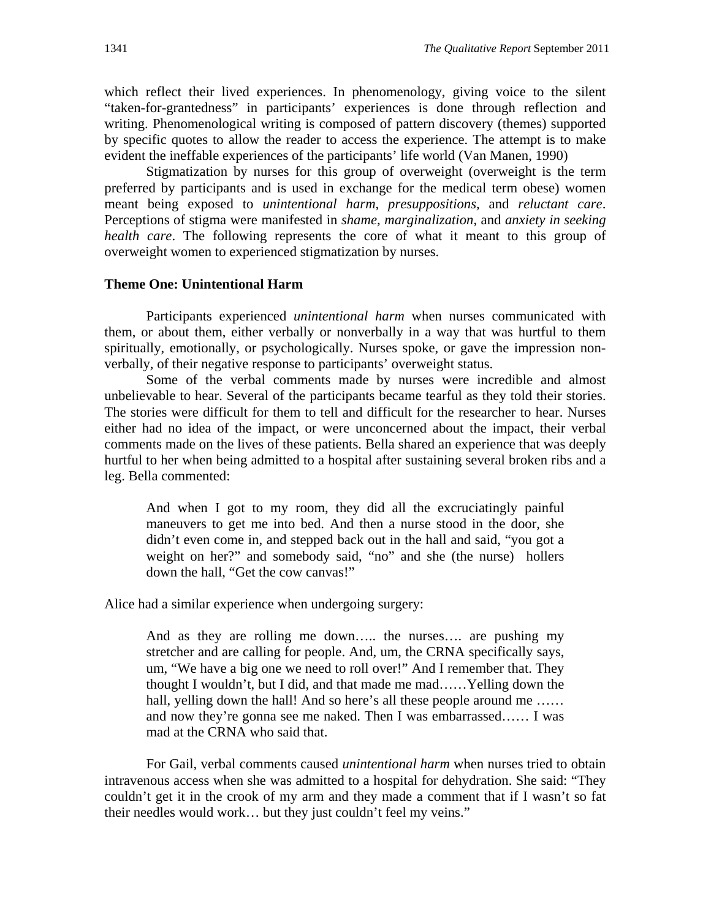which reflect their lived experiences. In phenomenology, giving voice to the silent "taken-for-grantedness" in participants' experiences is done through reflection and writing. Phenomenological writing is composed of pattern discovery (themes) supported by specific quotes to allow the reader to access the experience. The attempt is to make evident the ineffable experiences of the participants' life world (Van Manen, 1990)

Stigmatization by nurses for this group of overweight (overweight is the term preferred by participants and is used in exchange for the medical term obese) women meant being exposed to *unintentional harm*, *presuppositions,* and *reluctant care*. Perceptions of stigma were manifested in *shame, marginalization*, and *anxiety in seeking health care*. The following represents the core of what it meant to this group of overweight women to experienced stigmatization by nurses.

### **Theme One: Unintentional Harm**

Participants experienced *unintentional harm* when nurses communicated with them, or about them, either verbally or nonverbally in a way that was hurtful to them spiritually, emotionally, or psychologically. Nurses spoke, or gave the impression nonverbally, of their negative response to participants' overweight status.

 Some of the verbal comments made by nurses were incredible and almost unbelievable to hear. Several of the participants became tearful as they told their stories. The stories were difficult for them to tell and difficult for the researcher to hear. Nurses either had no idea of the impact, or were unconcerned about the impact, their verbal comments made on the lives of these patients. Bella shared an experience that was deeply hurtful to her when being admitted to a hospital after sustaining several broken ribs and a leg. Bella commented:

And when I got to my room, they did all the excruciatingly painful maneuvers to get me into bed. And then a nurse stood in the door, she didn't even come in, and stepped back out in the hall and said, "you got a weight on her?" and somebody said, "no" and she (the nurse) hollers down the hall, "Get the cow canvas!"

Alice had a similar experience when undergoing surgery:

And as they are rolling me down….. the nurses…. are pushing my stretcher and are calling for people. And, um, the CRNA specifically says, um, "We have a big one we need to roll over!" And I remember that. They thought I wouldn't, but I did, and that made me mad……Yelling down the hall, yelling down the hall! And so here's all these people around me ...... and now they're gonna see me naked. Then I was embarrassed…… I was mad at the CRNA who said that.

For Gail, verbal comments caused *unintentional harm* when nurses tried to obtain intravenous access when she was admitted to a hospital for dehydration. She said: "They couldn't get it in the crook of my arm and they made a comment that if I wasn't so fat their needles would work… but they just couldn't feel my veins."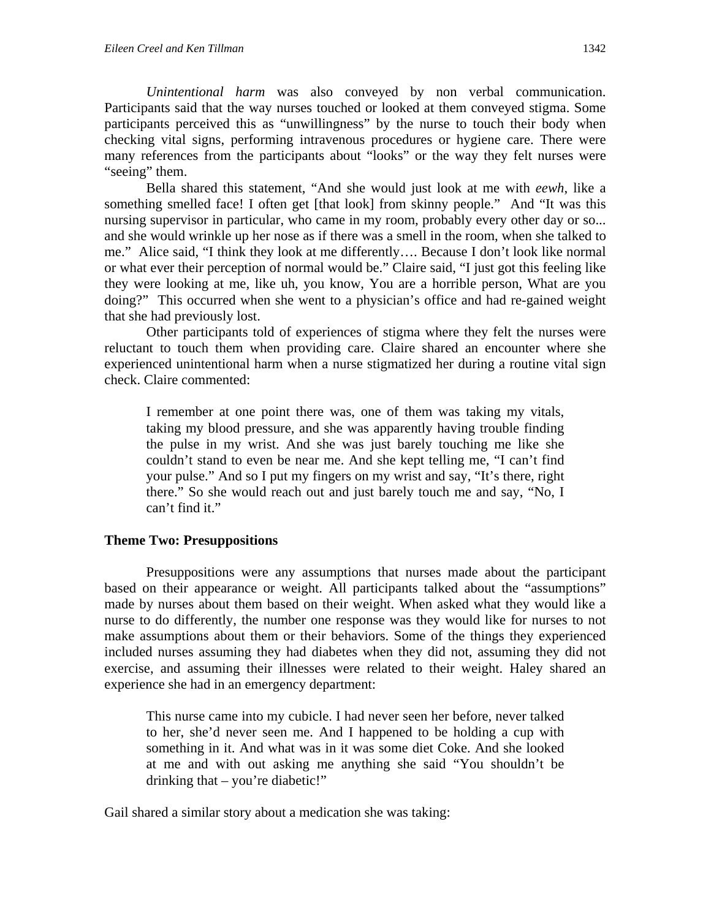*Unintentional harm* was also conveyed by non verbal communication. Participants said that the way nurses touched or looked at them conveyed stigma. Some participants perceived this as "unwillingness" by the nurse to touch their body when checking vital signs, performing intravenous procedures or hygiene care. There were many references from the participants about "looks" or the way they felt nurses were "seeing" them.

 Bella shared this statement, "And she would just look at me with *eewh*, like a something smelled face! I often get [that look] from skinny people." And "It was this nursing supervisor in particular, who came in my room, probably every other day or so... and she would wrinkle up her nose as if there was a smell in the room, when she talked to me." Alice said, "I think they look at me differently…. Because I don't look like normal or what ever their perception of normal would be." Claire said, "I just got this feeling like they were looking at me, like uh, you know, You are a horrible person, What are you doing?" This occurred when she went to a physician's office and had re-gained weight that she had previously lost.

 Other participants told of experiences of stigma where they felt the nurses were reluctant to touch them when providing care. Claire shared an encounter where she experienced unintentional harm when a nurse stigmatized her during a routine vital sign check. Claire commented:

I remember at one point there was, one of them was taking my vitals, taking my blood pressure, and she was apparently having trouble finding the pulse in my wrist. And she was just barely touching me like she couldn't stand to even be near me. And she kept telling me, "I can't find your pulse." And so I put my fingers on my wrist and say, "It's there, right there." So she would reach out and just barely touch me and say, "No, I can't find it."

## **Theme Two: Presuppositions**

Presuppositions were any assumptions that nurses made about the participant based on their appearance or weight. All participants talked about the "assumptions" made by nurses about them based on their weight. When asked what they would like a nurse to do differently, the number one response was they would like for nurses to not make assumptions about them or their behaviors. Some of the things they experienced included nurses assuming they had diabetes when they did not, assuming they did not exercise, and assuming their illnesses were related to their weight. Haley shared an experience she had in an emergency department:

This nurse came into my cubicle. I had never seen her before, never talked to her, she'd never seen me. And I happened to be holding a cup with something in it. And what was in it was some diet Coke. And she looked at me and with out asking me anything she said "You shouldn't be drinking that – you're diabetic!"

Gail shared a similar story about a medication she was taking: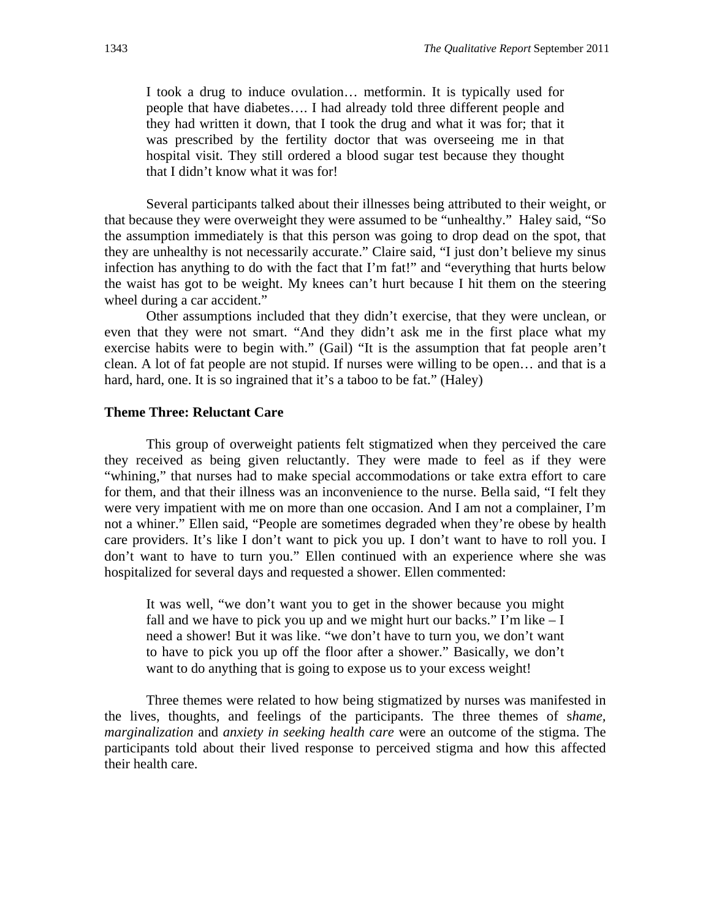I took a drug to induce ovulation… metformin. It is typically used for people that have diabetes…. I had already told three different people and they had written it down, that I took the drug and what it was for; that it was prescribed by the fertility doctor that was overseeing me in that hospital visit. They still ordered a blood sugar test because they thought that I didn't know what it was for!

 Several participants talked about their illnesses being attributed to their weight, or that because they were overweight they were assumed to be "unhealthy." Haley said, "So the assumption immediately is that this person was going to drop dead on the spot, that they are unhealthy is not necessarily accurate." Claire said, "I just don't believe my sinus infection has anything to do with the fact that I'm fat!" and "everything that hurts below the waist has got to be weight. My knees can't hurt because I hit them on the steering wheel during a car accident."

 Other assumptions included that they didn't exercise, that they were unclean, or even that they were not smart. "And they didn't ask me in the first place what my exercise habits were to begin with." (Gail) "It is the assumption that fat people aren't clean. A lot of fat people are not stupid. If nurses were willing to be open… and that is a hard, hard, one. It is so ingrained that it's a taboo to be fat." (Haley)

#### **Theme Three: Reluctant Care**

This group of overweight patients felt stigmatized when they perceived the care they received as being given reluctantly. They were made to feel as if they were "whining," that nurses had to make special accommodations or take extra effort to care for them, and that their illness was an inconvenience to the nurse. Bella said, "I felt they were very impatient with me on more than one occasion. And I am not a complainer, I'm not a whiner." Ellen said, "People are sometimes degraded when they're obese by health care providers. It's like I don't want to pick you up. I don't want to have to roll you. I don't want to have to turn you." Ellen continued with an experience where she was hospitalized for several days and requested a shower. Ellen commented:

It was well, "we don't want you to get in the shower because you might fall and we have to pick you up and we might hurt our backs." I'm like  $-I$ need a shower! But it was like. "we don't have to turn you, we don't want to have to pick you up off the floor after a shower." Basically, we don't want to do anything that is going to expose us to your excess weight!

Three themes were related to how being stigmatized by nurses was manifested in the lives, thoughts, and feelings of the participants. The three themes of s*hame, marginalization* and *anxiety in seeking health care* were an outcome of the stigma. The participants told about their lived response to perceived stigma and how this affected their health care.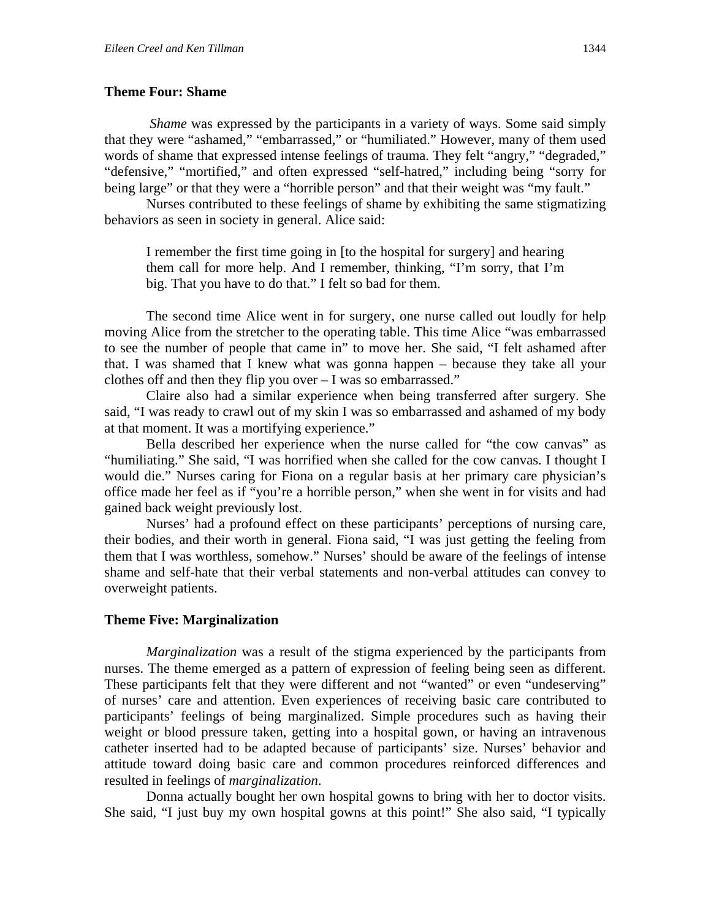#### **Theme Four: Shame**

*Shame* was expressed by the participants in a variety of ways. Some said simply that they were "ashamed," "embarrassed," or "humiliated." However, many of them used words of shame that expressed intense feelings of trauma. They felt "angry," "degraded," "defensive," "mortified," and often expressed "self-hatred," including being "sorry for being large" or that they were a "horrible person" and that their weight was "my fault."

Nurses contributed to these feelings of shame by exhibiting the same stigmatizing behaviors as seen in society in general. Alice said:

I remember the first time going in [to the hospital for surgery] and hearing them call for more help. And I remember, thinking, "I'm sorry, that I'm big. That you have to do that." I felt so bad for them.

The second time Alice went in for surgery, one nurse called out loudly for help moving Alice from the stretcher to the operating table. This time Alice "was embarrassed to see the number of people that came in" to move her. She said, "I felt ashamed after that. I was shamed that I knew what was gonna happen – because they take all your clothes off and then they flip you over – I was so embarrassed."

Claire also had a similar experience when being transferred after surgery. She said, "I was ready to crawl out of my skin I was so embarrassed and ashamed of my body at that moment. It was a mortifying experience."

Bella described her experience when the nurse called for "the cow canvas" as "humiliating." She said, "I was horrified when she called for the cow canvas. I thought I would die." Nurses caring for Fiona on a regular basis at her primary care physician's office made her feel as if "you're a horrible person," when she went in for visits and had gained back weight previously lost.

Nurses' had a profound effect on these participants' perceptions of nursing care, their bodies, and their worth in general. Fiona said, "I was just getting the feeling from them that I was worthless, somehow." Nurses' should be aware of the feelings of intense shame and self-hate that their verbal statements and non-verbal attitudes can convey to overweight patients.

## **Theme Five: Marginalization**

*Marginalization* was a result of the stigma experienced by the participants from nurses. The theme emerged as a pattern of expression of feeling being seen as different. These participants felt that they were different and not "wanted" or even "undeserving" of nurses' care and attention. Even experiences of receiving basic care contributed to participants' feelings of being marginalized. Simple procedures such as having their weight or blood pressure taken, getting into a hospital gown, or having an intravenous catheter inserted had to be adapted because of participants' size. Nurses' behavior and attitude toward doing basic care and common procedures reinforced differences and resulted in feelings of *marginalization*.

Donna actually bought her own hospital gowns to bring with her to doctor visits. She said, "I just buy my own hospital gowns at this point!" She also said, "I typically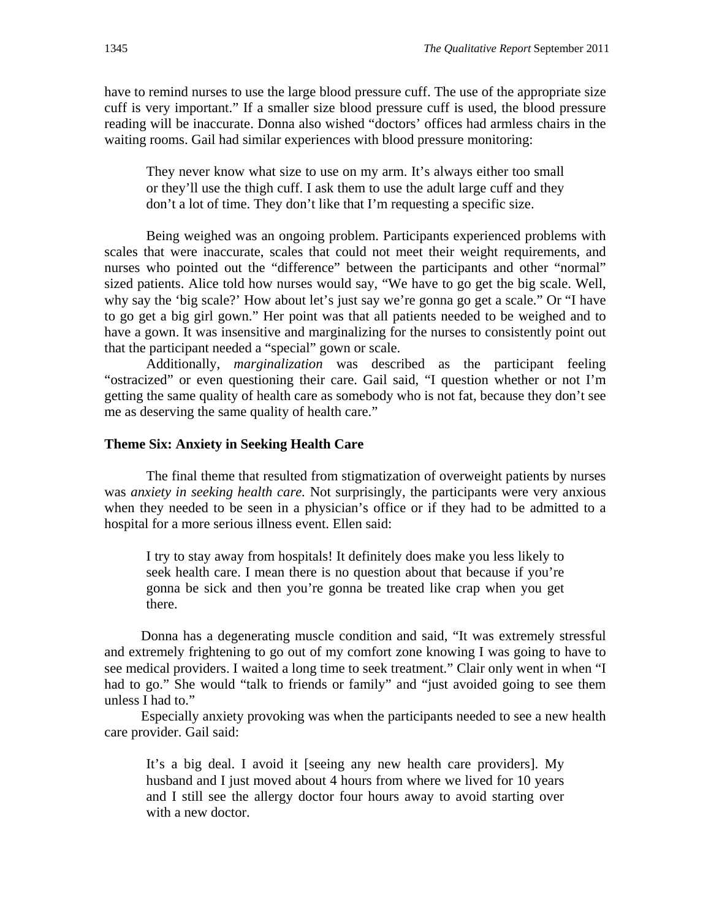have to remind nurses to use the large blood pressure cuff. The use of the appropriate size cuff is very important." If a smaller size blood pressure cuff is used, the blood pressure reading will be inaccurate. Donna also wished "doctors' offices had armless chairs in the waiting rooms. Gail had similar experiences with blood pressure monitoring:

They never know what size to use on my arm. It's always either too small or they'll use the thigh cuff. I ask them to use the adult large cuff and they don't a lot of time. They don't like that I'm requesting a specific size.

 Being weighed was an ongoing problem. Participants experienced problems with scales that were inaccurate, scales that could not meet their weight requirements, and nurses who pointed out the "difference" between the participants and other "normal" sized patients. Alice told how nurses would say, "We have to go get the big scale. Well, why say the 'big scale?' How about let's just say we're gonna go get a scale." Or "I have to go get a big girl gown." Her point was that all patients needed to be weighed and to have a gown. It was insensitive and marginalizing for the nurses to consistently point out that the participant needed a "special" gown or scale.

Additionally, *marginalization* was described as the participant feeling "ostracized" or even questioning their care. Gail said, "I question whether or not I'm getting the same quality of health care as somebody who is not fat, because they don't see me as deserving the same quality of health care."

#### **Theme Six: Anxiety in Seeking Health Care**

The final theme that resulted from stigmatization of overweight patients by nurses was *anxiety in seeking health care.* Not surprisingly, the participants were very anxious when they needed to be seen in a physician's office or if they had to be admitted to a hospital for a more serious illness event. Ellen said:

I try to stay away from hospitals! It definitely does make you less likely to seek health care. I mean there is no question about that because if you're gonna be sick and then you're gonna be treated like crap when you get there.

Donna has a degenerating muscle condition and said, "It was extremely stressful and extremely frightening to go out of my comfort zone knowing I was going to have to see medical providers. I waited a long time to seek treatment." Clair only went in when "I had to go." She would "talk to friends or family" and "just avoided going to see them unless I had to."

Especially anxiety provoking was when the participants needed to see a new health care provider. Gail said:

It's a big deal. I avoid it [seeing any new health care providers]. My husband and I just moved about 4 hours from where we lived for 10 years and I still see the allergy doctor four hours away to avoid starting over with a new doctor.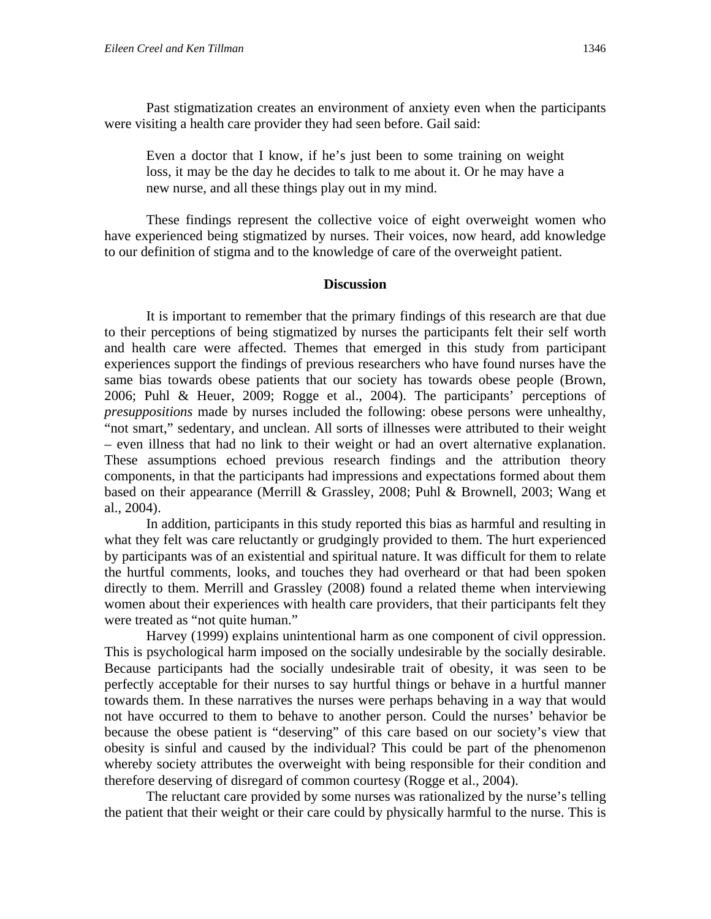Past stigmatization creates an environment of anxiety even when the participants were visiting a health care provider they had seen before. Gail said:

Even a doctor that I know, if he's just been to some training on weight loss, it may be the day he decides to talk to me about it. Or he may have a new nurse, and all these things play out in my mind.

 These findings represent the collective voice of eight overweight women who have experienced being stigmatized by nurses. Their voices, now heard, add knowledge to our definition of stigma and to the knowledge of care of the overweight patient.

#### **Discussion**

It is important to remember that the primary findings of this research are that due to their perceptions of being stigmatized by nurses the participants felt their self worth and health care were affected. Themes that emerged in this study from participant experiences support the findings of previous researchers who have found nurses have the same bias towards obese patients that our society has towards obese people (Brown, 2006; Puhl & Heuer, 2009; Rogge et al., 2004). The participants' perceptions of *presuppositions* made by nurses included the following: obese persons were unhealthy, "not smart," sedentary, and unclean. All sorts of illnesses were attributed to their weight – even illness that had no link to their weight or had an overt alternative explanation. These assumptions echoed previous research findings and the attribution theory components, in that the participants had impressions and expectations formed about them based on their appearance (Merrill & Grassley, 2008; Puhl & Brownell, 2003; Wang et al., 2004).

In addition, participants in this study reported this bias as harmful and resulting in what they felt was care reluctantly or grudgingly provided to them. The hurt experienced by participants was of an existential and spiritual nature. It was difficult for them to relate the hurtful comments, looks, and touches they had overheard or that had been spoken directly to them. Merrill and Grassley (2008) found a related theme when interviewing women about their experiences with health care providers, that their participants felt they were treated as "not quite human."

Harvey (1999) explains unintentional harm as one component of civil oppression. This is psychological harm imposed on the socially undesirable by the socially desirable. Because participants had the socially undesirable trait of obesity, it was seen to be perfectly acceptable for their nurses to say hurtful things or behave in a hurtful manner towards them. In these narratives the nurses were perhaps behaving in a way that would not have occurred to them to behave to another person. Could the nurses' behavior be because the obese patient is "deserving" of this care based on our society's view that obesity is sinful and caused by the individual? This could be part of the phenomenon whereby society attributes the overweight with being responsible for their condition and therefore deserving of disregard of common courtesy (Rogge et al., 2004).

The reluctant care provided by some nurses was rationalized by the nurse's telling the patient that their weight or their care could by physically harmful to the nurse. This is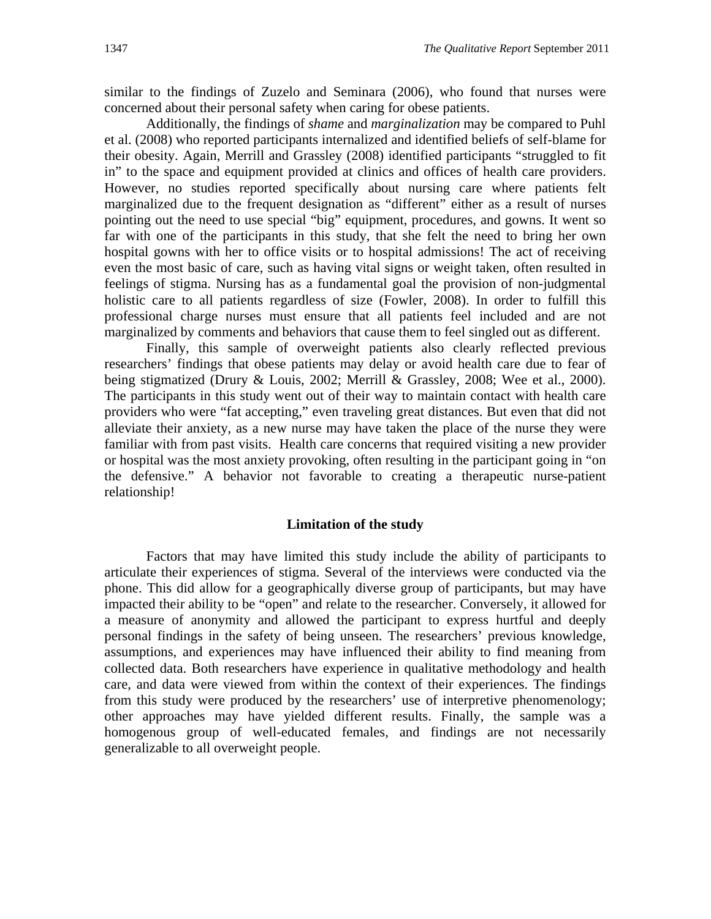similar to the findings of Zuzelo and Seminara (2006), who found that nurses were concerned about their personal safety when caring for obese patients.

 Additionally, the findings of *shame* and *marginalization* may be compared to Puhl et al. (2008) who reported participants internalized and identified beliefs of self-blame for their obesity. Again, Merrill and Grassley (2008) identified participants "struggled to fit in" to the space and equipment provided at clinics and offices of health care providers. However, no studies reported specifically about nursing care where patients felt marginalized due to the frequent designation as "different" either as a result of nurses pointing out the need to use special "big" equipment, procedures, and gowns. It went so far with one of the participants in this study, that she felt the need to bring her own hospital gowns with her to office visits or to hospital admissions! The act of receiving even the most basic of care, such as having vital signs or weight taken, often resulted in feelings of stigma. Nursing has as a fundamental goal the provision of non-judgmental holistic care to all patients regardless of size (Fowler, 2008). In order to fulfill this professional charge nurses must ensure that all patients feel included and are not marginalized by comments and behaviors that cause them to feel singled out as different.

Finally, this sample of overweight patients also clearly reflected previous researchers' findings that obese patients may delay or avoid health care due to fear of being stigmatized (Drury & Louis, 2002; Merrill & Grassley, 2008; Wee et al., 2000). The participants in this study went out of their way to maintain contact with health care providers who were "fat accepting," even traveling great distances. But even that did not alleviate their anxiety, as a new nurse may have taken the place of the nurse they were familiar with from past visits. Health care concerns that required visiting a new provider or hospital was the most anxiety provoking, often resulting in the participant going in "on the defensive." A behavior not favorable to creating a therapeutic nurse-patient relationship!

#### **Limitation of the study**

Factors that may have limited this study include the ability of participants to articulate their experiences of stigma. Several of the interviews were conducted via the phone. This did allow for a geographically diverse group of participants, but may have impacted their ability to be "open" and relate to the researcher. Conversely, it allowed for a measure of anonymity and allowed the participant to express hurtful and deeply personal findings in the safety of being unseen. The researchers' previous knowledge, assumptions, and experiences may have influenced their ability to find meaning from collected data. Both researchers have experience in qualitative methodology and health care, and data were viewed from within the context of their experiences. The findings from this study were produced by the researchers' use of interpretive phenomenology; other approaches may have yielded different results. Finally, the sample was a homogenous group of well-educated females, and findings are not necessarily generalizable to all overweight people.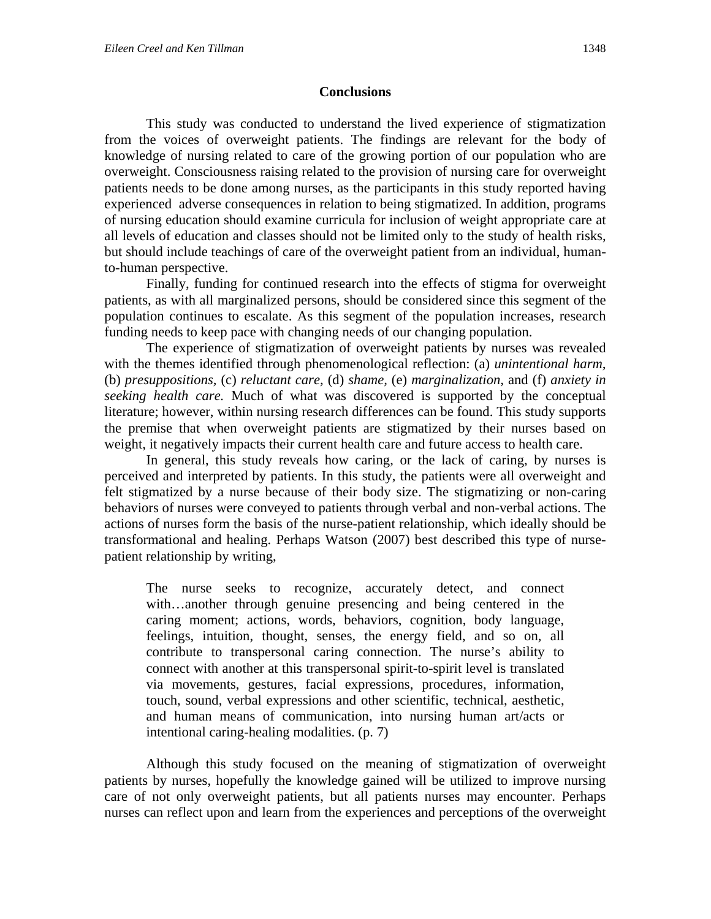#### **Conclusions**

This study was conducted to understand the lived experience of stigmatization from the voices of overweight patients. The findings are relevant for the body of knowledge of nursing related to care of the growing portion of our population who are overweight. Consciousness raising related to the provision of nursing care for overweight patients needs to be done among nurses, as the participants in this study reported having experienced adverse consequences in relation to being stigmatized. In addition, programs of nursing education should examine curricula for inclusion of weight appropriate care at all levels of education and classes should not be limited only to the study of health risks, but should include teachings of care of the overweight patient from an individual, humanto-human perspective.

 Finally, funding for continued research into the effects of stigma for overweight patients, as with all marginalized persons, should be considered since this segment of the population continues to escalate. As this segment of the population increases, research funding needs to keep pace with changing needs of our changing population.

The experience of stigmatization of overweight patients by nurses was revealed with the themes identified through phenomenological reflection: (a) *unintentional harm,*  (b) *presuppositions,* (c) *reluctant care,* (d) *shame,* (e) *marginalization,* and (f) *anxiety in seeking health care.* Much of what was discovered is supported by the conceptual literature; however, within nursing research differences can be found. This study supports the premise that when overweight patients are stigmatized by their nurses based on weight, it negatively impacts their current health care and future access to health care.

In general, this study reveals how caring, or the lack of caring, by nurses is perceived and interpreted by patients. In this study, the patients were all overweight and felt stigmatized by a nurse because of their body size. The stigmatizing or non-caring behaviors of nurses were conveyed to patients through verbal and non-verbal actions. The actions of nurses form the basis of the nurse-patient relationship, which ideally should be transformational and healing. Perhaps Watson (2007) best described this type of nursepatient relationship by writing,

The nurse seeks to recognize, accurately detect, and connect with…another through genuine presencing and being centered in the caring moment; actions, words, behaviors, cognition, body language, feelings, intuition, thought, senses, the energy field, and so on, all contribute to transpersonal caring connection. The nurse's ability to connect with another at this transpersonal spirit-to-spirit level is translated via movements, gestures, facial expressions, procedures, information, touch, sound, verbal expressions and other scientific, technical, aesthetic, and human means of communication, into nursing human art/acts or intentional caring-healing modalities. (p. 7)

Although this study focused on the meaning of stigmatization of overweight patients by nurses, hopefully the knowledge gained will be utilized to improve nursing care of not only overweight patients, but all patients nurses may encounter. Perhaps nurses can reflect upon and learn from the experiences and perceptions of the overweight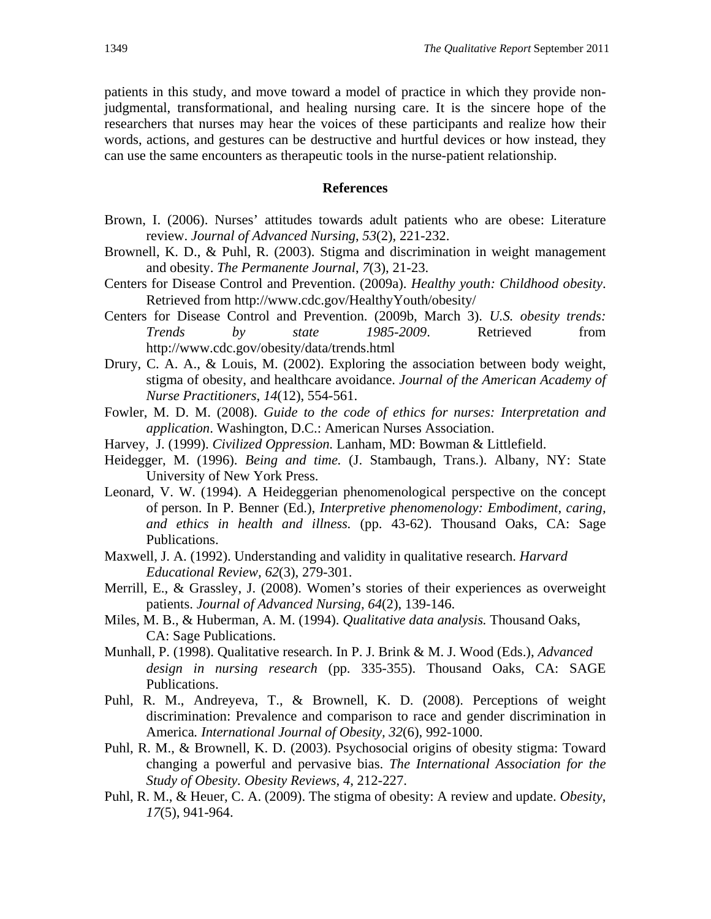patients in this study, and move toward a model of practice in which they provide nonjudgmental, transformational, and healing nursing care. It is the sincere hope of the researchers that nurses may hear the voices of these participants and realize how their words, actions, and gestures can be destructive and hurtful devices or how instead, they can use the same encounters as therapeutic tools in the nurse-patient relationship.

#### **References**

- Brown, I. (2006). Nurses' attitudes towards adult patients who are obese: Literature review. *Journal of Advanced Nursing*, *53*(2), 221-232.
- Brownell, K. D., & Puhl, R. (2003). Stigma and discrimination in weight management and obesity. *The Permanente Journal*, *7*(3), 21-23.
- Centers for Disease Control and Prevention. (2009a). *Healthy youth: Childhood obesity*. Retrieved from http://www.cdc.gov/HealthyYouth/obesity/
- Centers for Disease Control and Prevention. (2009b, March 3). *U.S. obesity trends: Trends by state 1985-2009*. Retrieved from http://www.cdc.gov/obesity/data/trends.html
- Drury, C. A. A., & Louis, M. (2002). Exploring the association between body weight, stigma of obesity, and healthcare avoidance. *Journal of the American Academy of Nurse Practitioners*, *14*(12), 554-561.
- Fowler, M. D. M. (2008). *Guide to the code of ethics for nurses: Interpretation and application*. Washington, D.C.: American Nurses Association.
- Harvey, J. (1999). *Civilized Oppression.* Lanham, MD: Bowman & Littlefield.
- Heidegger, M. (1996). *Being and time.* (J. Stambaugh, Trans.). Albany, NY: State University of New York Press.
- Leonard, V. W. (1994). A Heideggerian phenomenological perspective on the concept of person. In P. Benner (Ed.), *Interpretive phenomenology: Embodiment, caring, and ethics in health and illness.* (pp. 43-62). Thousand Oaks, CA: Sage Publications.
- Maxwell, J. A. (1992). Understanding and validity in qualitative research. *Harvard Educational Review, 62*(3), 279-301.
- Merrill, E., & Grassley, J. (2008). Women's stories of their experiences as overweight patients. *Journal of Advanced Nursing, 64*(2), 139-146.
- Miles, M. B., & Huberman, A. M. (1994). *Qualitative data analysis.* Thousand Oaks, CA: Sage Publications.
- Munhall, P. (1998). Qualitative research. In P. J. Brink & M. J. Wood (Eds.), *Advanced design in nursing research* (pp. 335-355). Thousand Oaks, CA: SAGE Publications.
- Puhl, R. M., Andreyeva, T., & Brownell, K. D. (2008). Perceptions of weight discrimination: Prevalence and comparison to race and gender discrimination in America*. International Journal of Obesity, 32*(6), 992-1000.
- Puhl, R. M., & Brownell, K. D. (2003). Psychosocial origins of obesity stigma: Toward changing a powerful and pervasive bias. *The International Association for the Study of Obesity. Obesity Reviews*, *4*, 212-227.
- Puhl, R. M., & Heuer, C. A. (2009). The stigma of obesity: A review and update. *Obesity*, *17*(5), 941-964.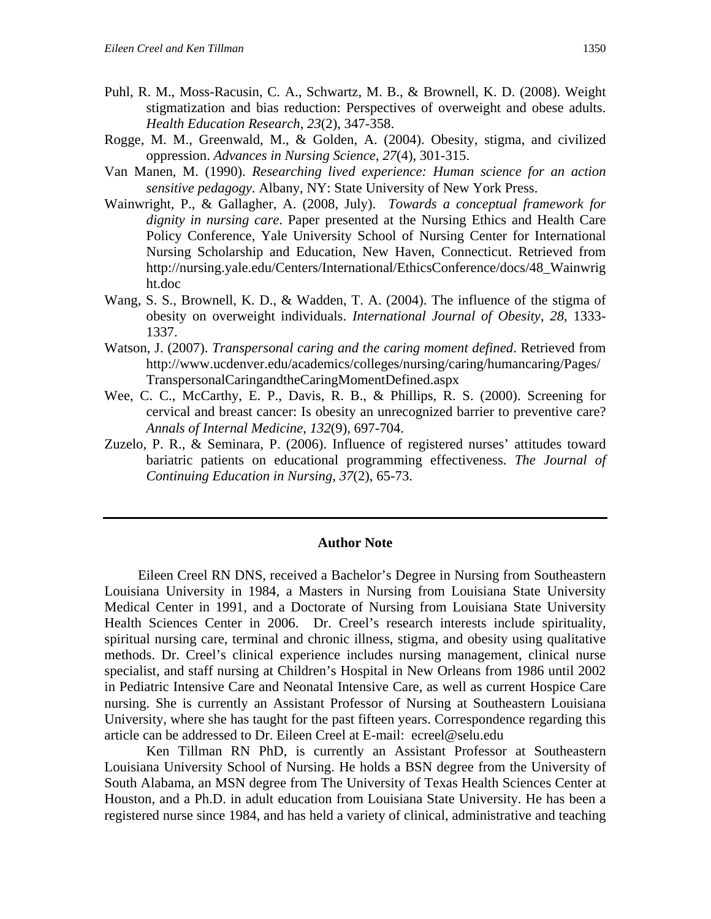- Puhl, R. M., Moss-Racusin, C. A., Schwartz, M. B., & Brownell, K. D. (2008). Weight stigmatization and bias reduction: Perspectives of overweight and obese adults. *Health Education Research, 23*(2), 347-358.
- Rogge, M. M., Greenwald, M., & Golden, A. (2004). Obesity, stigma, and civilized oppression. *Advances in Nursing Science, 27*(4), 301-315.
- Van Manen, M. (1990). *Researching lived experience: Human science for an action sensitive pedagogy*. Albany, NY: State University of New York Press.
- Wainwright, P., & Gallagher, A. (2008, July). *Towards a conceptual framework for dignity in nursing care*. Paper presented at the Nursing Ethics and Health Care Policy Conference, Yale University School of Nursing Center for International Nursing Scholarship and Education, New Haven, Connecticut. Retrieved from http://nursing.yale.edu/Centers/International/EthicsConference/docs/48\_Wainwrig ht.doc
- Wang, S. S., Brownell, K. D., & Wadden, T. A. (2004). The influence of the stigma of obesity on overweight individuals. *International Journal of Obesity*, *28*, 1333- 1337.
- Watson, J. (2007). *Transpersonal caring and the caring moment defined*. Retrieved from http://www.ucdenver.edu/academics/colleges/nursing/caring/humancaring/Pages/ TranspersonalCaringandtheCaringMomentDefined.aspx
- Wee, C. C., McCarthy, E. P., Davis, R. B., & Phillips, R. S. (2000). Screening for cervical and breast cancer: Is obesity an unrecognized barrier to preventive care? *Annals of Internal Medicine*, *132*(9), 697-704.
- Zuzelo, P. R., & Seminara, P. (2006). Influence of registered nurses' attitudes toward bariatric patients on educational programming effectiveness. *The Journal of Continuing Education in Nursing*, *37*(2), 65-73.

#### **Author Note**

 Eileen Creel RN DNS, received a Bachelor's Degree in Nursing from Southeastern Louisiana University in 1984, a Masters in Nursing from Louisiana State University Medical Center in 1991, and a Doctorate of Nursing from Louisiana State University Health Sciences Center in 2006. Dr. Creel's research interests include spirituality, spiritual nursing care, terminal and chronic illness, stigma, and obesity using qualitative methods. Dr. Creel's clinical experience includes nursing management, clinical nurse specialist, and staff nursing at Children's Hospital in New Orleans from 1986 until 2002 in Pediatric Intensive Care and Neonatal Intensive Care, as well as current Hospice Care nursing. She is currently an Assistant Professor of Nursing at Southeastern Louisiana University, where she has taught for the past fifteen years. Correspondence regarding this article can be addressed to Dr. Eileen Creel at E-mail: ecreel@selu.edu

Ken Tillman RN PhD, is currently an Assistant Professor at Southeastern Louisiana University School of Nursing. He holds a BSN degree from the University of South Alabama, an MSN degree from The University of Texas Health Sciences Center at Houston, and a Ph.D. in adult education from Louisiana State University. He has been a registered nurse since 1984, and has held a variety of clinical, administrative and teaching